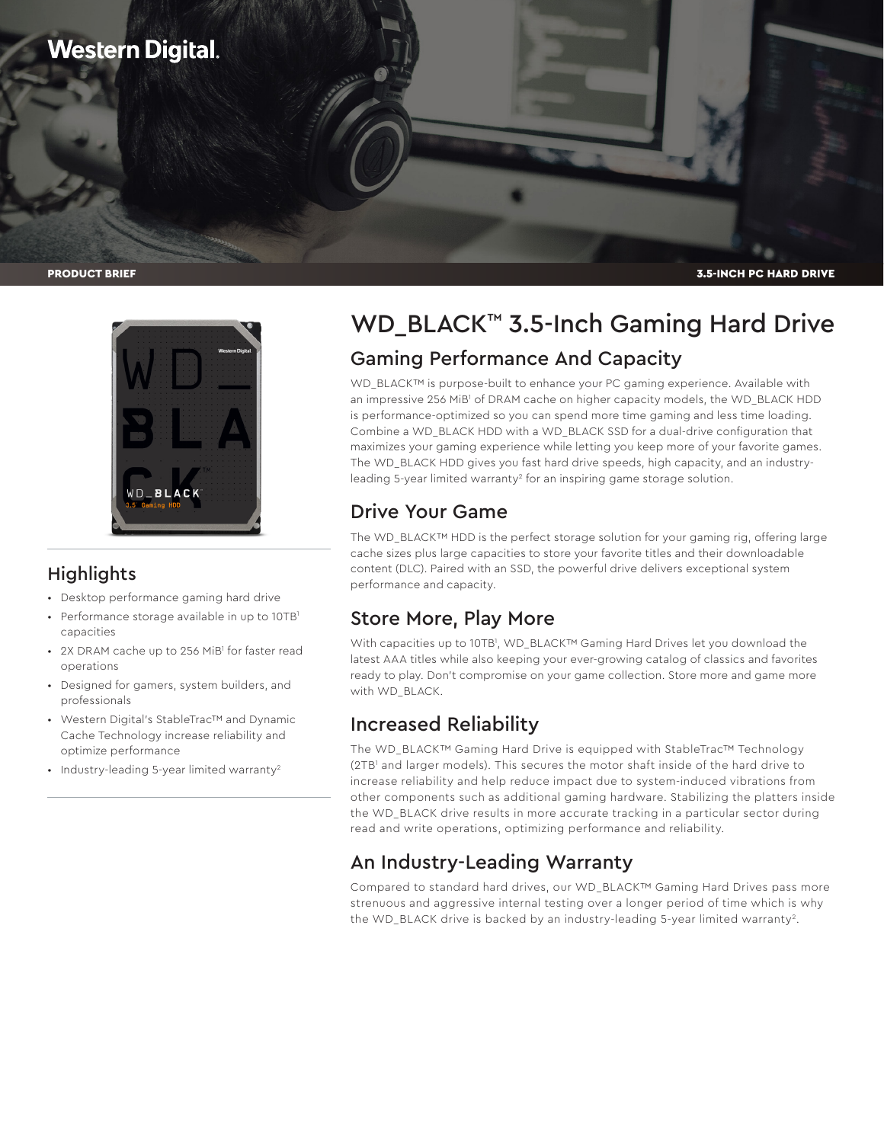



### **Highlights**

- Desktop performance gaming hard drive
- Performance storage available in up to 10TB<sup>1</sup> capacities
- 2X DRAM cache up to 256 MiB<sup>1</sup> for faster read operations
- Designed for gamers, system builders, and professionals
- Western Digital's StableTrac™ and Dynamic Cache Technology increase reliability and optimize performance
- Industry-leading 5-year limited warranty<sup>2</sup>

# WD\_BLACK™ 3.5-Inch Gaming Hard Drive Gaming Performance And Capacity

WD\_BLACK™ is purpose-built to enhance your PC gaming experience. Available with an impressive 256 MiB<sup>1</sup> of DRAM cache on higher capacity models, the WD\_BLACK HDD is performance-optimized so you can spend more time gaming and less time loading. Combine a WD\_BLACK HDD with a WD\_BLACK SSD for a dual-drive configuration that maximizes your gaming experience while letting you keep more of your favorite games. The WD\_BLACK HDD gives you fast hard drive speeds, high capacity, and an industryleading 5-year limited warranty<sup>2</sup> for an inspiring game storage solution.

# Drive Your Game

The WD\_BLACK™ HDD is the perfect storage solution for your gaming rig, offering large cache sizes plus large capacities to store your favorite titles and their downloadable content (DLC). Paired with an SSD, the powerful drive delivers exceptional system performance and capacity.

## Store More, Play More

With capacities up to 10TB<sup>1</sup>, WD\_BLACK™ Gaming Hard Drives let you download the latest AAA titles while also keeping your ever-growing catalog of classics and favorites ready to play. Don't compromise on your game collection. Store more and game more with WD\_BLACK.

## Increased Reliability

The WD\_BLACK™ Gaming Hard Drive is equipped with StableTrac™ Technology (2TB1 and larger models). This secures the motor shaft inside of the hard drive to increase reliability and help reduce impact due to system-induced vibrations from other components such as additional gaming hardware. Stabilizing the platters inside the WD\_BLACK drive results in more accurate tracking in a particular sector during read and write operations, optimizing performance and reliability.

## An Industry-Leading Warranty

Compared to standard hard drives, our WD\_BLACK™ Gaming Hard Drives pass more strenuous and aggressive internal testing over a longer period of time which is why the WD\_BLACK drive is backed by an industry-leading 5-year limited warranty<sup>2</sup>.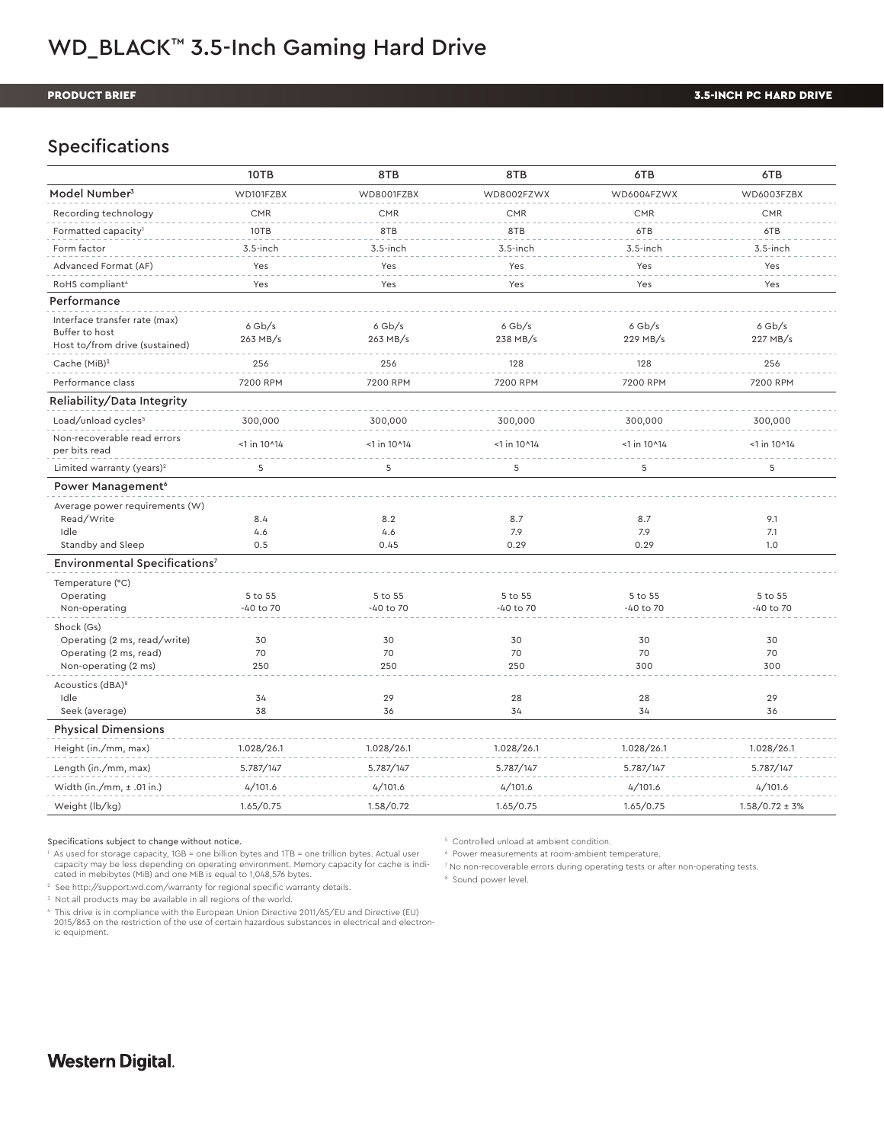# WD\_BLACK<sup>™</sup> 3.5-Inch Gaming Hard Drive

#### PRODUCT BRIEF

### Specifications

|                                                                                              | 10TB                 | 8TB                  | 8TB                  | 6TB                  | 6TB                  |
|----------------------------------------------------------------------------------------------|----------------------|----------------------|----------------------|----------------------|----------------------|
| Model Number <sup>3</sup>                                                                    | WD101FZBX            | WD8001FZBX           | WD8002FZWX           | WD6004FZWX           | WD6003FZBX           |
| Recording technology                                                                         | <b>CMR</b>           | <b>CMR</b>           | <b>CMR</b>           | <b>CMR</b>           | <b>CMR</b>           |
| Formatted capacity <sup>1</sup>                                                              | 10TB                 | 8TB                  | 8TB                  | 6TB                  | 6TB                  |
| Form factor                                                                                  | $3.5$ -inch          | $3.5$ -inch          | $3.5$ -inch          | $3.5$ -inch          | $3.5$ -inch          |
| Advanced Format (AF)                                                                         | Yes                  | Yes                  | Yes                  | Yes                  | Yes                  |
| RoHS compliant <sup>4</sup>                                                                  | Yes                  | Yes                  | Yes                  | Yes                  | Yes                  |
| Performance                                                                                  |                      |                      |                      |                      |                      |
| Interface transfer rate (max)<br>Buffer to host<br>Host to/from drive (sustained)            | $6$ Gb/s<br>263 MB/s | $6$ Gb/s<br>263 MB/s | $6$ Gb/s<br>238 MB/s | $6$ Gb/s<br>229 MB/s | $6$ Gb/s<br>227 MB/s |
| Cache (MiB) <sup>1</sup>                                                                     | 256                  | 256                  | 128                  | 128                  | 256                  |
| Performance class                                                                            | 7200 RPM             | 7200 RPM             | 7200 RPM             | 7200 RPM             | 7200 RPM             |
| Reliability/Data Integrity                                                                   |                      |                      |                      |                      |                      |
| Load/unload cycles <sup>5</sup>                                                              | 300,000              | 300,000              | 300,000              | 300,000              | 300,000              |
| Non-recoverable read errors<br>per bits read                                                 | $<$ 1 in 10 $14$     | $<$ 1 in 10^14       | $<$ 1 in 10 $14$     | $<$ 1 in 10^14       | $<$ 1 in 10^14       |
| Limited warranty (years) <sup>2</sup>                                                        | 5                    | 5                    | 5                    | 5                    | 5                    |
| Power Management <sup>6</sup>                                                                |                      |                      |                      |                      |                      |
| Average power requirements (W)<br>Read/Write<br>Idle<br>Standby and Sleep                    | 8.4<br>4.6<br>0.5    | 8.2<br>4.6<br>0.45   | 8.7<br>7.9<br>0.29   | 8.7<br>7.9<br>0.29   | 9.1<br>7.1<br>1.0    |
| Environmental Specifications7                                                                |                      |                      |                      |                      |                      |
| Temperature (°C)<br>Operating<br>Non-operating                                               | 5 to 55<br>-40 to 70 | 5 to 55<br>-40 to 70 | 5 to 55<br>-40 to 70 | 5 to 55<br>-40 to 70 | 5 to 55<br>-40 to 70 |
| Shock (Gs)<br>Operating (2 ms, read/write)<br>Operating (2 ms, read)<br>Non-operating (2 ms) | 30<br>70<br>250      | 30<br>70<br>250      | 30<br>70<br>250      | 30<br>70<br>300      | 30<br>70<br>300      |
| Acoustics (dBA) <sup>8</sup><br>Idle<br>Seek (average)                                       | 34<br>38             | 29<br>36             | 28<br>34             | 28<br>34             | 29<br>36             |
| <b>Physical Dimensions</b>                                                                   |                      |                      |                      |                      |                      |
| Height (in./mm, max)                                                                         | 1.028/26.1           | 1.028/26.1           | 1.028/26.1           | 1.028/26.1           | 1.028/26.1           |
| Length (in./mm, max)                                                                         | 5.787/147            | 5.787/147            | 5.787/147            | 5.787/147            | 5.787/147            |
| Width (in./mm, $\pm$ .01 in.)                                                                | 4/101.6              | 4/101.6              | 4/101.6              | 4/101.6              | 4/101.6              |
| Weight (lb/kg)                                                                               | 1.65/0.75            | 1.58/0.72            | 1.65/0.75            | 1.65/0.75            | $1.58/0.72 \pm 3\%$  |
|                                                                                              |                      |                      |                      |                      |                      |

Specifications subject to change without notice.

1 As used for storage capacity, 1GB = one billion bytes and 1TB = one trillion bytes. Actual user capacity may be less depending on operating environment. Memory capacity for cache is indicated in mebibytes (MiB) and one MiB is equal to 1,048,576 bytes.

2 See http://support.wd.com/warranty for regional specific warranty details.

3 Not all products may be available in all regions of the world.

4 This drive is in compliance with the European Union Directive 2011/65/EU and Directive (EU) 2015/863 on the restriction of the use of certain hazardous substances in electrical and electronic equipment.

5 Controlled unload at ambient condition.

6 Power measurements at room-ambient temperature.

7 No non-recoverable errors during operating tests or after non-operating tests.

<sup>8</sup> Sound power level.